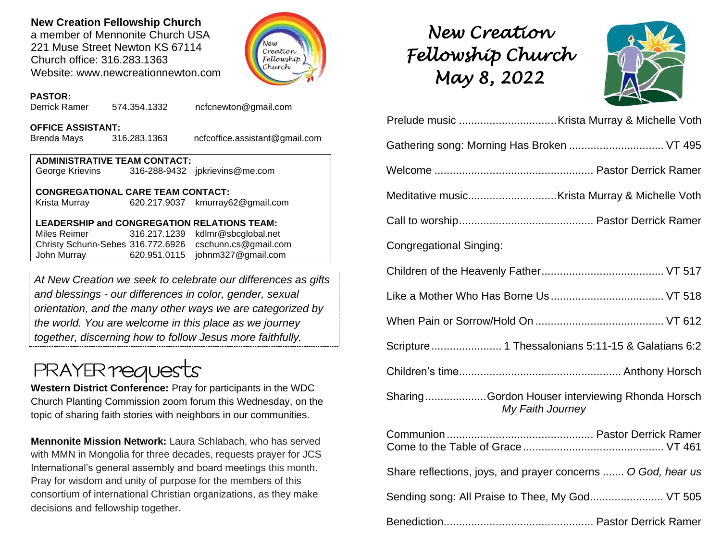## **New Creation Fellowship Church**

a member of Mennonite Church USA 221 Muse Street Newton KS 67114 Church office: 316.283.1363 Website: www.newcreationnewton.com



## *New Creation Fellowship Church May 8, 2022*



| Gathering song: Morning Has Broken  VT 495                          |
|---------------------------------------------------------------------|
|                                                                     |
|                                                                     |
|                                                                     |
| <b>Congregational Singing:</b>                                      |
|                                                                     |
|                                                                     |
|                                                                     |
| Scripture  1 Thessalonians 5:11-15 & Galatians 6:2                  |
|                                                                     |
| SharingGordon Houser interviewing Rhonda Horsch<br>My Faith Journey |
|                                                                     |
| Share reflections, joys, and prayer concerns  O God, hear us        |
| Sending song: All Praise to Thee, My God VT 505                     |
|                                                                     |

## **PASTOR:**

Derrick Ramer 574.354.1332 [ncfcnewton@gmail.com](mailto:ncfcnewton@gmail.com)

### **OFFICE ASSISTANT:**

Brenda Mays 316.283.1363 ncfcoffice.assistant@gmail.com

**ADMINISTRATIVE TEAM CONTACT:** George Krievins 316-288-9432 jpkrievins@me.com

### **CONGREGATIONAL CARE TEAM CONTACT:**

Krista Murray 620.217.9037 [kmurray62@gmail.com](mailto:kmurray62@gmail.com)

### **LEADERSHIP and CONGREGATION RELATIONS TEAM:**

Miles Reimer [316.217.1239](mailto:316.217.1239) kdlmr@sbcglobal.net Christy Schunn-Sebes 316.772.6926 cschunn.cs@gmail.com John Murray 620.951.0115 johnm327@gmail.com

*At New Creation we seek to celebrate our differences as gifts and blessings - our differences in color, gender, sexual orientation, and the many other ways we are categorized by the world. You are welcome in this place as we journey together, discerning how to follow Jesus more faithfully.*

# **PRAYER requests**

**Western District Conference:** Pray for participants in the WDC Church Planting Commission zoom forum this Wednesday, on the topic of sharing faith stories with neighbors in our communities.

**Mennonite Mission Network:** Laura Schlabach, who has served with MMN in Mongolia for three decades, requests prayer for JCS International's general assembly and board meetings this month. Pray for wisdom and unity of purpose for the members of this consortium of international Christian organizations, as they make decisions and fellowship together.